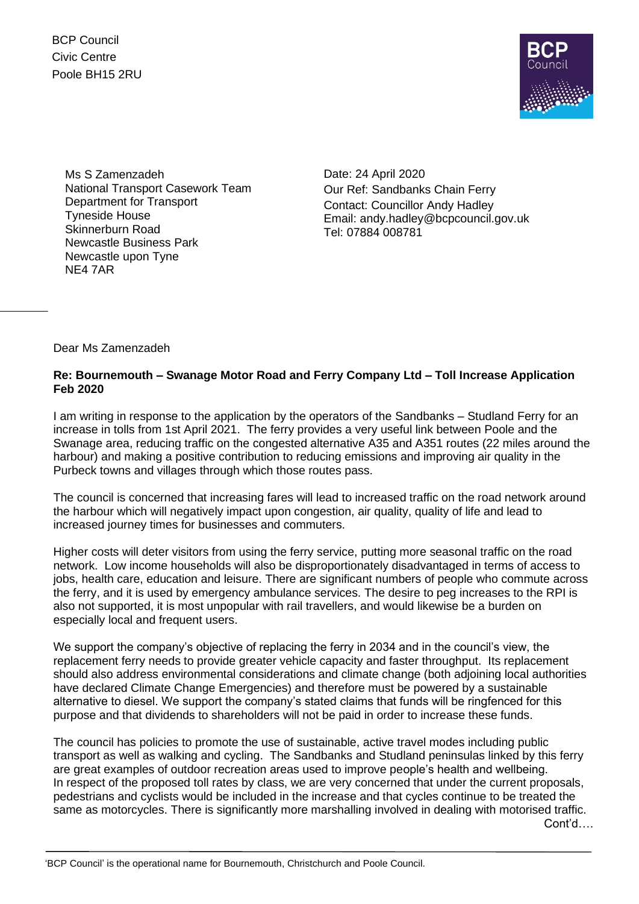BCP Council Civic Centre Poole BH15 2RU



Ms S Zamenzadeh National Transport Casework Team Department for Transport Tyneside House Skinnerburn Road Newcastle Business Park Newcastle upon Tyne NE4 7AR

Date: 24 April 2020 Our Ref: Sandbanks Chain Ferry Contact: Councillor Andy Hadley Email: andy.hadley@bcpcouncil.gov.uk Tel: 07884 008781

Dear Ms Zamenzadeh

## **Re: Bournemouth – Swanage Motor Road and Ferry Company Ltd – Toll Increase Application Feb 2020**

I am writing in response to the application by the operators of the Sandbanks – Studland Ferry for an increase in tolls from 1st April 2021. The ferry provides a very useful link between Poole and the Swanage area, reducing traffic on the congested alternative A35 and A351 routes (22 miles around the harbour) and making a positive contribution to reducing emissions and improving air quality in the Purbeck towns and villages through which those routes pass.

The council is concerned that increasing fares will lead to increased traffic on the road network around the harbour which will negatively impact upon congestion, air quality, quality of life and lead to increased journey times for businesses and commuters.

Higher costs will deter visitors from using the ferry service, putting more seasonal traffic on the road network. Low income households will also be disproportionately disadvantaged in terms of access to jobs, health care, education and leisure. There are significant numbers of people who commute across the ferry, and it is used by emergency ambulance services. The desire to peg increases to the RPI is also not supported, it is most unpopular with rail travellers, and would likewise be a burden on especially local and frequent users.

We support the company's objective of replacing the ferry in 2034 and in the council's view, the replacement ferry needs to provide greater vehicle capacity and faster throughput. Its replacement should also address environmental considerations and climate change (both adjoining local authorities have declared Climate Change Emergencies) and therefore must be powered by a sustainable alternative to diesel. We support the company's stated claims that funds will be ringfenced for this purpose and that dividends to shareholders will not be paid in order to increase these funds.

The council has policies to promote the use of sustainable, active travel modes including public transport as well as walking and cycling. The Sandbanks and Studland peninsulas linked by this ferry are great examples of outdoor recreation areas used to improve people's health and wellbeing. In respect of the proposed toll rates by class, we are very concerned that under the current proposals, pedestrians and cyclists would be included in the increase and that cycles continue to be treated the same as motorcycles. There is significantly more marshalling involved in dealing with motorised traffic.

Cont'd….